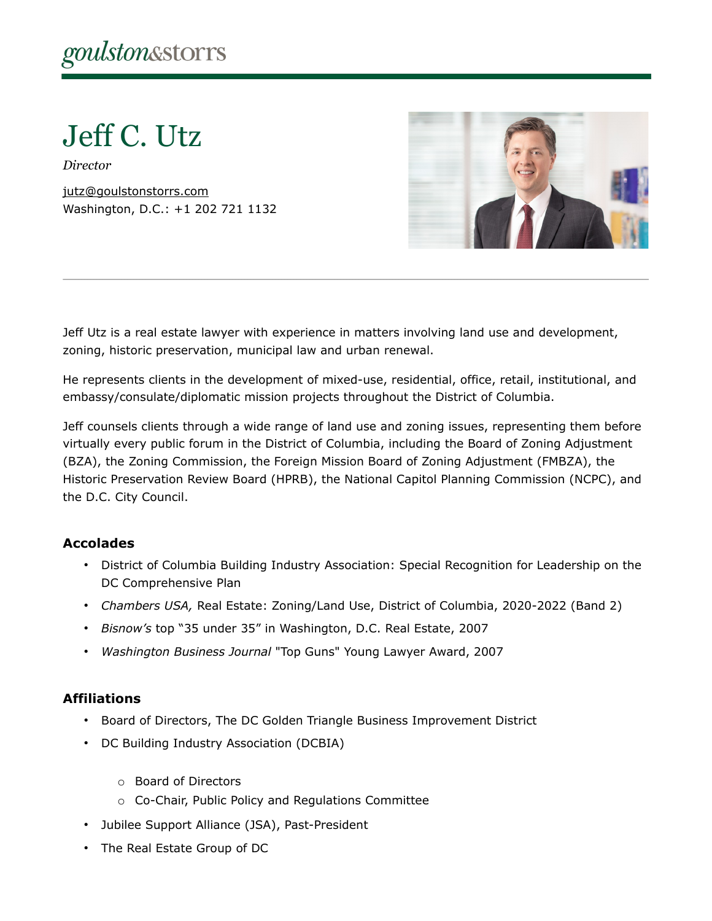Jeff C. Utz

*Director*

[jutz@goulstonstorrs.com](mailto:jutz@goulstonstorrs.com) Washington, D.C.: +1 202 721 1132



Jeff Utz is a real estate lawyer with experience in matters involving land use and development, zoning, historic preservation, municipal law and urban renewal.

He represents clients in the development of mixed-use, residential, office, retail, institutional, and embassy/consulate/diplomatic mission projects throughout the District of Columbia.

Jeff counsels clients through a wide range of land use and zoning issues, representing them before virtually every public forum in the District of Columbia, including the Board of Zoning Adjustment (BZA), the Zoning Commission, the Foreign Mission Board of Zoning Adjustment (FMBZA), the Historic Preservation Review Board (HPRB), the National Capitol Planning Commission (NCPC), and the D.C. City Council.

#### **Accolades**

- District of Columbia Building Industry Association: Special Recognition for Leadership on the DC Comprehensive Plan
- *Chambers USA,* Real Estate: Zoning/Land Use, District of Columbia, 2020-2022 (Band 2)
- *Bisnow's* top "35 under 35" in Washington, D.C. Real Estate, 2007
- *Washington Business Journal* "Top Guns" Young Lawyer Award, 2007

#### **Affiliations**

- Board of Directors, The DC Golden Triangle Business Improvement District
- DC Building Industry Association (DCBIA)
	- o Board of Directors
	- o Co-Chair, Public Policy and Regulations Committee
- Jubilee Support Alliance (JSA), Past-President
- The Real Estate Group of DC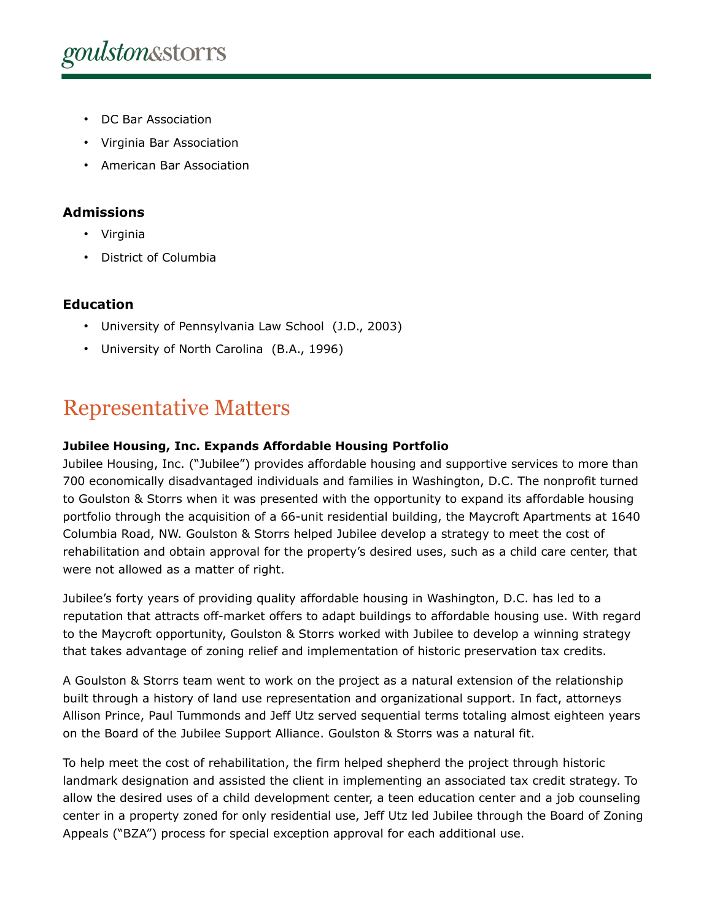- DC Bar Association
- Virginia Bar Association
- American Bar Association

### **Admissions**

- Virginia
- District of Columbia

# **Education**

- University of Pennsylvania Law School (J.D., 2003)
- University of North Carolina (B.A., 1996)

# Representative Matters

#### **Jubilee Housing, Inc. Expands Affordable Housing Portfolio**

Jubilee Housing, Inc. ("Jubilee") provides affordable housing and supportive services to more than 700 economically disadvantaged individuals and families in Washington, D.C. The nonprofit turned to Goulston & Storrs when it was presented with the opportunity to expand its affordable housing portfolio through the acquisition of a 66-unit residential building, the Maycroft Apartments at 1640 Columbia Road, NW. Goulston & Storrs helped Jubilee develop a strategy to meet the cost of rehabilitation and obtain approval for the property's desired uses, such as a child care center, that were not allowed as a matter of right.

Jubilee's forty years of providing quality affordable housing in Washington, D.C. has led to a reputation that attracts off-market offers to adapt buildings to affordable housing use. With regard to the Maycroft opportunity, Goulston & Storrs worked with Jubilee to develop a winning strategy that takes advantage of zoning relief and implementation of historic preservation tax credits.

A Goulston & Storrs team went to work on the project as a natural extension of the relationship built through a history of land use representation and organizational support. In fact, attorneys Allison Prince, Paul Tummonds and Jeff Utz served sequential terms totaling almost eighteen years on the Board of the Jubilee Support Alliance. Goulston & Storrs was a natural fit.

To help meet the cost of rehabilitation, the firm helped shepherd the project through historic landmark designation and assisted the client in implementing an associated tax credit strategy. To allow the desired uses of a child development center, a teen education center and a job counseling center in a property zoned for only residential use, Jeff Utz led Jubilee through the Board of Zoning Appeals ("BZA") process for special exception approval for each additional use.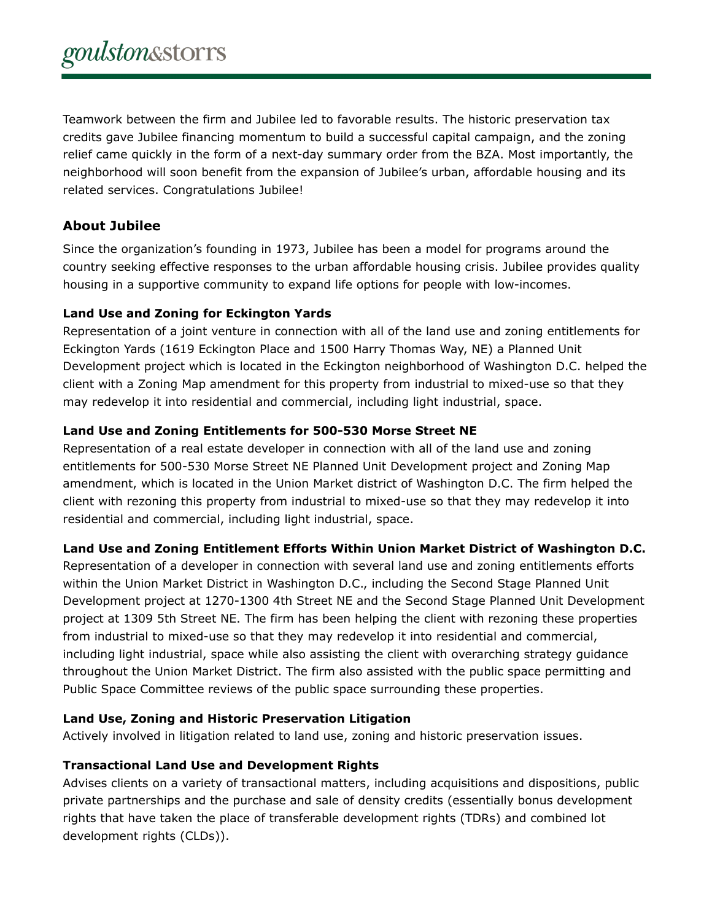Teamwork between the firm and Jubilee led to favorable results. The historic preservation tax credits gave Jubilee financing momentum to build a successful capital campaign, and the zoning relief came quickly in the form of a next-day summary order from the BZA. Most importantly, the neighborhood will soon benefit from the expansion of Jubilee's urban, affordable housing and its related services. Congratulations Jubilee!

### **About Jubilee**

Since the organization's founding in 1973, Jubilee has been a model for programs around the country seeking effective responses to the urban affordable housing crisis. Jubilee provides quality housing in a supportive community to expand life options for people with low-incomes.

#### **Land Use and Zoning for Eckington Yards**

Representation of a joint venture in connection with all of the land use and zoning entitlements for Eckington Yards (1619 Eckington Place and 1500 Harry Thomas Way, NE) a Planned Unit Development project which is located in the Eckington neighborhood of Washington D.C. helped the client with a Zoning Map amendment for this property from industrial to mixed-use so that they may redevelop it into residential and commercial, including light industrial, space.

#### **Land Use and Zoning Entitlements for 500-530 Morse Street NE**

Representation of a real estate developer in connection with all of the land use and zoning entitlements for 500-530 Morse Street NE Planned Unit Development project and Zoning Map amendment, which is located in the Union Market district of Washington D.C. The firm helped the client with rezoning this property from industrial to mixed-use so that they may redevelop it into residential and commercial, including light industrial, space.

#### **Land Use and Zoning Entitlement Efforts Within Union Market District of Washington D.C.**

Representation of a developer in connection with several land use and zoning entitlements efforts within the Union Market District in Washington D.C., including the Second Stage Planned Unit Development project at 1270-1300 4th Street NE and the Second Stage Planned Unit Development project at 1309 5th Street NE. The firm has been helping the client with rezoning these properties from industrial to mixed-use so that they may redevelop it into residential and commercial, including light industrial, space while also assisting the client with overarching strategy guidance throughout the Union Market District. The firm also assisted with the public space permitting and Public Space Committee reviews of the public space surrounding these properties.

#### **Land Use, Zoning and Historic Preservation Litigation**

Actively involved in litigation related to land use, zoning and historic preservation issues.

#### **Transactional Land Use and Development Rights**

Advises clients on a variety of transactional matters, including acquisitions and dispositions, public private partnerships and the purchase and sale of density credits (essentially bonus development rights that have taken the place of transferable development rights (TDRs) and combined lot development rights (CLDs)).